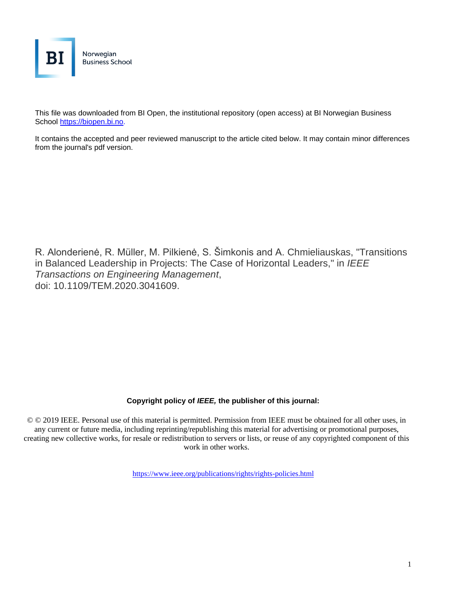

This file was downloaded from BI Open, the institutional repository (open access) at BI Norwegian Business School https://biopen.bi.no.

It contains the accepted and peer reviewed manuscript to the article cited below. It may contain minor differences from the journal's pdf version.

R. Alonderienė, R. Müller, M. Pilkienė, S. Šimkonis and A. Chmieliauskas, "Transitions in Balanced Leadership in Projects: The Case of Horizontal Leaders," in *IEEE Transactions on Engineering Management*, doi: 10.1109/TEM.2020.3041609.

#### **Copyright policy of** *IEEE,* **the publisher of this journal:**

© © 2019 IEEE. Personal use of this material is permitted. Permission from IEEE must be obtained for all other uses, in any current or future media, including reprinting/republishing this material for advertising or promotional purposes, creating new collective works, for resale or redistribution to servers or lists, or reuse of any copyrighted component of this work in other works.

<https://www.ieee.org/publications/rights/rights-policies.html>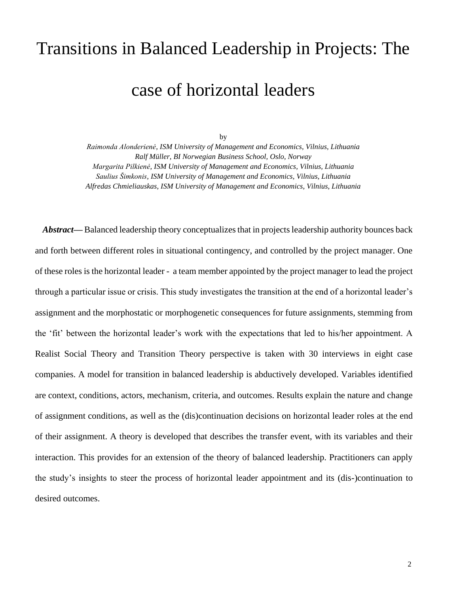# Transitions in Balanced Leadership in Projects: The case of horizontal leaders

by

*Raimonda Alonderienė, ISM University of Management and Economics, Vilnius, Lithuania Ralf Müller, BI Norwegian Business School, Oslo, Norway Margarita Pilkienė, ISM University of Management and Economics, Vilnius, Lithuania Saulius Šimkonis, ISM University of Management and Economics, Vilnius, Lithuania Alfredas Chmieliauskas, ISM University of Management and Economics, Vilnius, Lithuania*

*Abstract***—** Balanced leadership theory conceptualizes that in projects leadership authority bounces back and forth between different roles in situational contingency, and controlled by the project manager. One of these roles is the horizontal leader - a team member appointed by the project manager to lead the project through a particular issue or crisis. This study investigates the transition at the end of a horizontal leader's assignment and the morphostatic or morphogenetic consequences for future assignments, stemming from the 'fit' between the horizontal leader's work with the expectations that led to his/her appointment. A Realist Social Theory and Transition Theory perspective is taken with 30 interviews in eight case companies. A model for transition in balanced leadership is abductively developed. Variables identified are context, conditions, actors, mechanism, criteria, and outcomes. Results explain the nature and change of assignment conditions, as well as the (dis)continuation decisions on horizontal leader roles at the end of their assignment. A theory is developed that describes the transfer event, with its variables and their interaction. This provides for an extension of the theory of balanced leadership. Practitioners can apply the study's insights to steer the process of horizontal leader appointment and its (dis-)continuation to desired outcomes.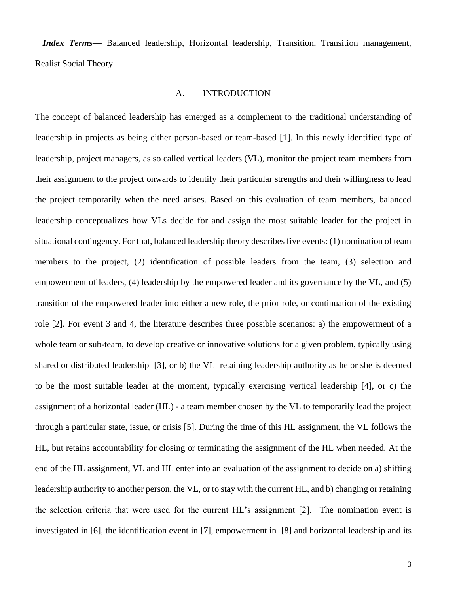*Index Terms***—** Balanced leadership, Horizontal leadership, Transition, Transition management, Realist Social Theory

#### A. INTRODUCTION

The concept of balanced leadership has emerged as a complement to the traditional understanding of leadership in projects as being either person-based or team-based [1]. In this newly identified type of leadership, project managers, as so called vertical leaders (VL), monitor the project team members from their assignment to the project onwards to identify their particular strengths and their willingness to lead the project temporarily when the need arises. Based on this evaluation of team members, balanced leadership conceptualizes how VLs decide for and assign the most suitable leader for the project in situational contingency. For that, balanced leadership theory describes five events: (1) nomination of team members to the project, (2) identification of possible leaders from the team, (3) selection and empowerment of leaders, (4) leadership by the empowered leader and its governance by the VL, and (5) transition of the empowered leader into either a new role, the prior role, or continuation of the existing role [2]. For event 3 and 4, the literature describes three possible scenarios: a) the empowerment of a whole team or sub-team, to develop creative or innovative solutions for a given problem, typically using shared or distributed leadership [3], or b) the VL retaining leadership authority as he or she is deemed to be the most suitable leader at the moment, typically exercising vertical leadership [4], or c) the assignment of a horizontal leader (HL) - a team member chosen by the VL to temporarily lead the project through a particular state, issue, or crisis [5]. During the time of this HL assignment, the VL follows the HL, but retains accountability for closing or terminating the assignment of the HL when needed. At the end of the HL assignment, VL and HL enter into an evaluation of the assignment to decide on a) shifting leadership authority to another person, the VL, or to stay with the current HL, and b) changing or retaining the selection criteria that were used for the current HL's assignment [2]. The nomination event is investigated in [6], the identification event in [7], empowerment in [8] and horizontal leadership and its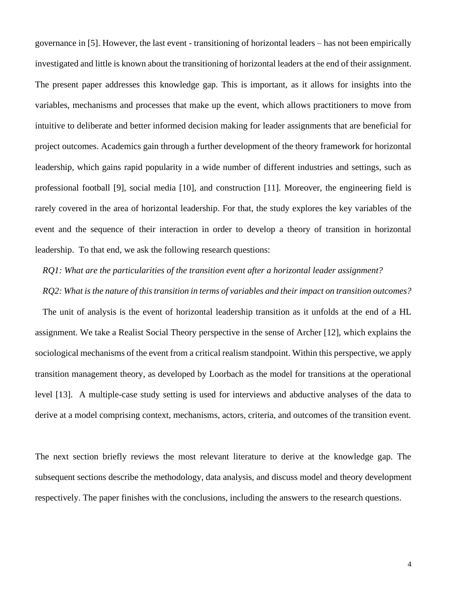governance in [5]. However, the last event - transitioning of horizontal leaders – has not been empirically investigated and little is known about the transitioning of horizontal leaders at the end of their assignment. The present paper addresses this knowledge gap. This is important, as it allows for insights into the variables, mechanisms and processes that make up the event, which allows practitioners to move from intuitive to deliberate and better informed decision making for leader assignments that are beneficial for project outcomes. Academics gain through a further development of the theory framework for horizontal leadership, which gains rapid popularity in a wide number of different industries and settings, such as professional football [9], social media [10], and construction [11]. Moreover, the engineering field is rarely covered in the area of horizontal leadership. For that, the study explores the key variables of the event and the sequence of their interaction in order to develop a theory of transition in horizontal leadership. To that end, we ask the following research questions:

*RQ1: What are the particularities of the transition event after a horizontal leader assignment?* 

*RQ2: What is the nature of this transition in terms of variables and their impact on transition outcomes?* 

The unit of analysis is the event of horizontal leadership transition as it unfolds at the end of a HL assignment. We take a Realist Social Theory perspective in the sense of Archer [12], which explains the sociological mechanisms of the event from a critical realism standpoint. Within this perspective, we apply transition management theory, as developed by Loorbach as the model for transitions at the operational level [13]. A multiple-case study setting is used for interviews and abductive analyses of the data to derive at a model comprising context, mechanisms, actors, criteria, and outcomes of the transition event.

The next section briefly reviews the most relevant literature to derive at the knowledge gap. The subsequent sections describe the methodology, data analysis, and discuss model and theory development respectively. The paper finishes with the conclusions, including the answers to the research questions.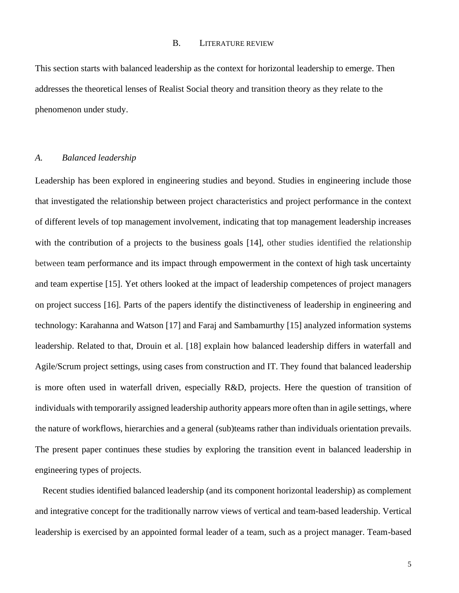#### B. LITERATURE REVIEW

This section starts with balanced leadership as the context for horizontal leadership to emerge. Then addresses the theoretical lenses of Realist Social theory and transition theory as they relate to the phenomenon under study.

#### *A. Balanced leadership*

Leadership has been explored in engineering studies and beyond. Studies in engineering include those that investigated the relationship between project characteristics and project performance in the context of different levels of top management involvement, indicating that top management leadership increases with the contribution of a projects to the business goals [14], other studies identified the relationship between team performance and its impact through empowerment in the context of high task uncertainty and team expertise [15]. Yet others looked at the impact of leadership competences of project managers on project success [16]. Parts of the papers identify the distinctiveness of leadership in engineering and technology: Karahanna and Watson [17] and Faraj and Sambamurthy [15] analyzed information systems leadership. Related to that, Drouin et al. [18] explain how balanced leadership differs in waterfall and Agile/Scrum project settings, using cases from construction and IT. They found that balanced leadership is more often used in waterfall driven, especially R&D, projects. Here the question of transition of individuals with temporarily assigned leadership authority appears more often than in agile settings, where the nature of workflows, hierarchies and a general (sub)teams rather than individuals orientation prevails. The present paper continues these studies by exploring the transition event in balanced leadership in engineering types of projects.

Recent studies identified balanced leadership (and its component horizontal leadership) as complement and integrative concept for the traditionally narrow views of vertical and team-based leadership. Vertical leadership is exercised by an appointed formal leader of a team, such as a project manager. Team-based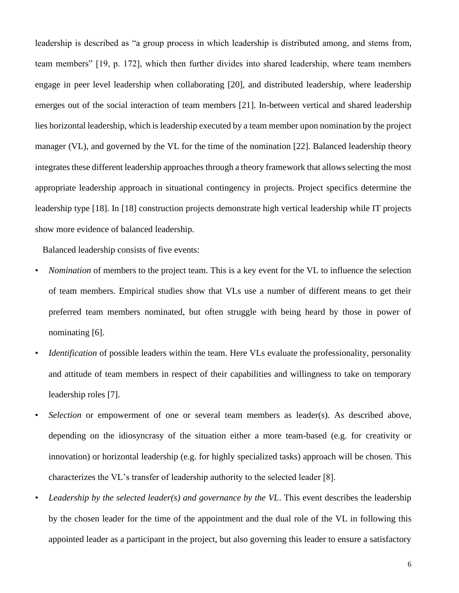leadership is described as "a group process in which leadership is distributed among, and stems from, team members" [19, p. 172], which then further divides into shared leadership, where team members engage in peer level leadership when collaborating [20], and distributed leadership, where leadership emerges out of the social interaction of team members [21]. In-between vertical and shared leadership lies horizontal leadership, which is leadership executed by a team member upon nomination by the project manager (VL), and governed by the VL for the time of the nomination [22]. Balanced leadership theory integrates these different leadership approaches through a theory framework that allows selecting the most appropriate leadership approach in situational contingency in projects. Project specifics determine the leadership type [18]. In [18] construction projects demonstrate high vertical leadership while IT projects show more evidence of balanced leadership.

Balanced leadership consists of five events:

- *Nomination* of members to the project team. This is a key event for the VL to influence the selection of team members. Empirical studies show that VLs use a number of different means to get their preferred team members nominated, but often struggle with being heard by those in power of nominating [6].
- *Identification* of possible leaders within the team. Here VLs evaluate the professionality, personality and attitude of team members in respect of their capabilities and willingness to take on temporary leadership roles [7].
- *Selection* or empowerment of one or several team members as leader(s). As described above, depending on the idiosyncrasy of the situation either a more team-based (e.g. for creativity or innovation) or horizontal leadership (e.g. for highly specialized tasks) approach will be chosen. This characterizes the VL's transfer of leadership authority to the selected leader [8].
- *Leadership by the selected leader(s) and governance by the VL*. This event describes the leadership by the chosen leader for the time of the appointment and the dual role of the VL in following this appointed leader as a participant in the project, but also governing this leader to ensure a satisfactory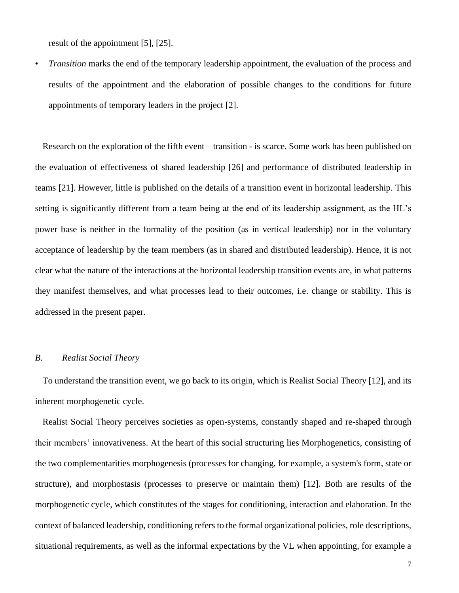result of the appointment [5], [25].

• *Transition* marks the end of the temporary leadership appointment, the evaluation of the process and results of the appointment and the elaboration of possible changes to the conditions for future appointments of temporary leaders in the project [2].

Research on the exploration of the fifth event – transition - is scarce. Some work has been published on the evaluation of effectiveness of shared leadership [26] and performance of distributed leadership in teams [21]. However, little is published on the details of a transition event in horizontal leadership. This setting is significantly different from a team being at the end of its leadership assignment, as the HL's power base is neither in the formality of the position (as in vertical leadership) nor in the voluntary acceptance of leadership by the team members (as in shared and distributed leadership). Hence, it is not clear what the nature of the interactions at the horizontal leadership transition events are, in what patterns they manifest themselves, and what processes lead to their outcomes, i.e. change or stability. This is addressed in the present paper.

#### *B. Realist Social Theory*

To understand the transition event, we go back to its origin, which is Realist Social Theory [12], and its inherent morphogenetic cycle.

Realist Social Theory perceives societies as open-systems, constantly shaped and re-shaped through their members' innovativeness. At the heart of this social structuring lies Morphogenetics, consisting of the two complementarities morphogenesis (processes for changing, for example, a system's form, state or structure), and morphostasis (processes to preserve or maintain them) [12]. Both are results of the morphogenetic cycle, which constitutes of the stages for conditioning, interaction and elaboration. In the context of balanced leadership, conditioning refers to the formal organizational policies, role descriptions, situational requirements, as well as the informal expectations by the VL when appointing, for example a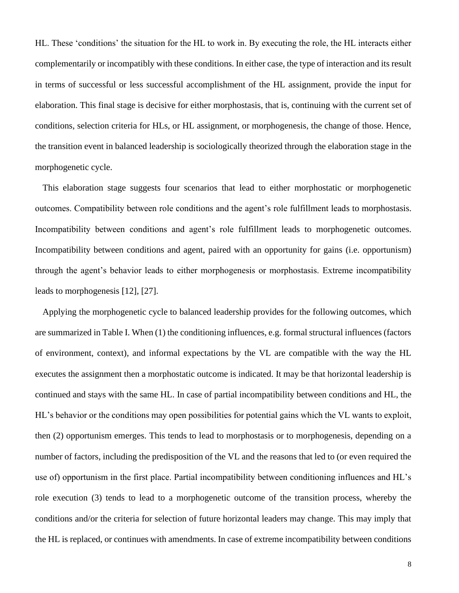HL. These 'conditions' the situation for the HL to work in. By executing the role, the HL interacts either complementarily or incompatibly with these conditions. In either case, the type of interaction and its result in terms of successful or less successful accomplishment of the HL assignment, provide the input for elaboration. This final stage is decisive for either morphostasis, that is, continuing with the current set of conditions, selection criteria for HLs, or HL assignment, or morphogenesis, the change of those. Hence, the transition event in balanced leadership is sociologically theorized through the elaboration stage in the morphogenetic cycle.

This elaboration stage suggests four scenarios that lead to either morphostatic or morphogenetic outcomes. Compatibility between role conditions and the agent's role fulfillment leads to morphostasis. Incompatibility between conditions and agent's role fulfillment leads to morphogenetic outcomes. Incompatibility between conditions and agent, paired with an opportunity for gains (i.e. opportunism) through the agent's behavior leads to either morphogenesis or morphostasis. Extreme incompatibility leads to morphogenesis [12], [27].

Applying the morphogenetic cycle to balanced leadership provides for the following outcomes, which are summarized in Table I. When (1) the conditioning influences, e.g. formal structural influences (factors of environment, context), and informal expectations by the VL are compatible with the way the HL executes the assignment then a morphostatic outcome is indicated. It may be that horizontal leadership is continued and stays with the same HL. In case of partial incompatibility between conditions and HL, the HL's behavior or the conditions may open possibilities for potential gains which the VL wants to exploit, then (2) opportunism emerges. This tends to lead to morphostasis or to morphogenesis, depending on a number of factors, including the predisposition of the VL and the reasons that led to (or even required the use of) opportunism in the first place. Partial incompatibility between conditioning influences and HL's role execution (3) tends to lead to a morphogenetic outcome of the transition process, whereby the conditions and/or the criteria for selection of future horizontal leaders may change. This may imply that the HL is replaced, or continues with amendments. In case of extreme incompatibility between conditions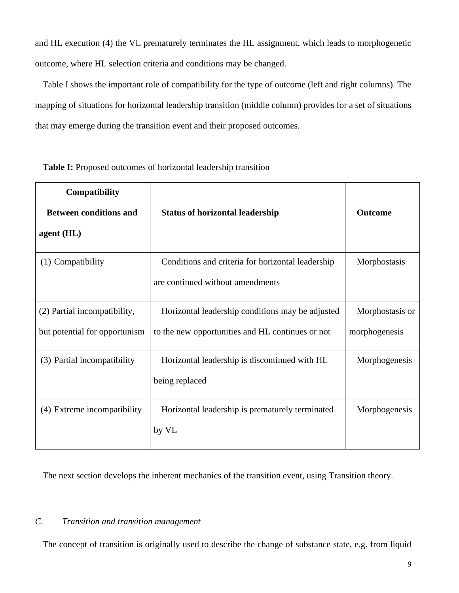and HL execution (4) the VL prematurely terminates the HL assignment, which leads to morphogenetic outcome, where HL selection criteria and conditions may be changed.

Table I shows the important role of compatibility for the type of outcome (left and right columns). The mapping of situations for horizontal leadership transition (middle column) provides for a set of situations that may emerge during the transition event and their proposed outcomes.

| Compatibility<br><b>Between conditions and</b><br>agent (HL)  | <b>Status of horizontal leadership</b>                                                               | <b>Outcome</b>                   |
|---------------------------------------------------------------|------------------------------------------------------------------------------------------------------|----------------------------------|
| (1) Compatibility                                             | Conditions and criteria for horizontal leadership<br>are continued without amendments                | Morphostasis                     |
| (2) Partial incompatibility,<br>but potential for opportunism | Horizontal leadership conditions may be adjusted<br>to the new opportunities and HL continues or not | Morphostasis or<br>morphogenesis |
| (3) Partial incompatibility                                   | Horizontal leadership is discontinued with HL<br>being replaced                                      | Morphogenesis                    |
| (4) Extreme incompatibility                                   | Horizontal leadership is prematurely terminated<br>by VL                                             | Morphogenesis                    |

**Table I:** Proposed outcomes of horizontal leadership transition

The next section develops the inherent mechanics of the transition event, using Transition theory.

# *C. Transition and transition management*

The concept of transition is originally used to describe the change of substance state, e.g. from liquid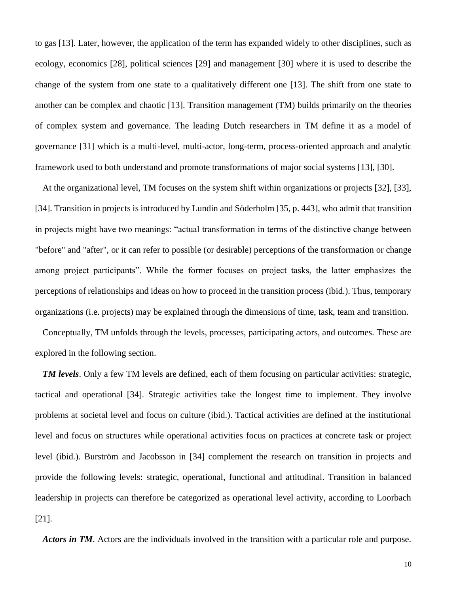to gas [13]. Later, however, the application of the term has expanded widely to other disciplines, such as ecology, economics [28], political sciences [29] and management [30] where it is used to describe the change of the system from one state to a qualitatively different one [13]. The shift from one state to another can be complex and chaotic [13]. Transition management (TM) builds primarily on the theories of complex system and governance. The leading Dutch researchers in TM define it as a model of governance [31] which is a multi-level, multi-actor, long-term, process-oriented approach and analytic framework used to both understand and promote transformations of major social systems [13], [30].

At the organizational level, TM focuses on the system shift within organizations or projects [32], [33], [34]. Transition in projects is introduced by Lundin and Söderholm [35, p. 443], who admit that transition in projects might have two meanings: "actual transformation in terms of the distinctive change between "before" and "after", or it can refer to possible (or desirable) perceptions of the transformation or change among project participants". While the former focuses on project tasks, the latter emphasizes the perceptions of relationships and ideas on how to proceed in the transition process (ibid.). Thus, temporary organizations (i.e. projects) may be explained through the dimensions of time, task, team and transition.

Conceptually, TM unfolds through the levels, processes, participating actors, and outcomes. These are explored in the following section.

*TM levels*. Only a few TM levels are defined, each of them focusing on particular activities: strategic, tactical and operational [34]. Strategic activities take the longest time to implement. They involve problems at societal level and focus on culture (ibid.). Tactical activities are defined at the institutional level and focus on structures while operational activities focus on practices at concrete task or project level (ibid.). Burström and Jacobsson in [34] complement the research on transition in projects and provide the following levels: strategic, operational, functional and attitudinal. Transition in balanced leadership in projects can therefore be categorized as operational level activity, according to Loorbach [21].

*Actors in TM*. Actors are the individuals involved in the transition with a particular role and purpose.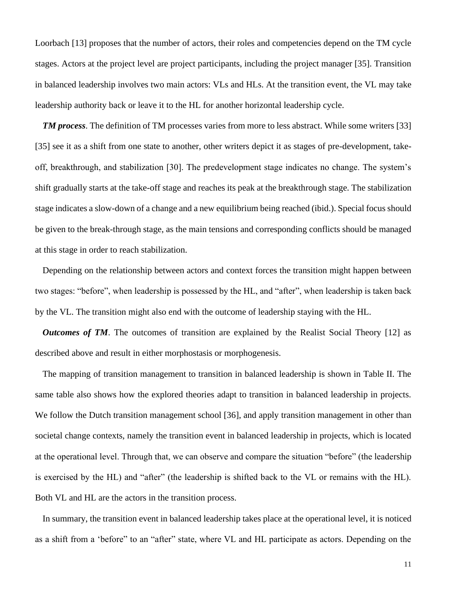Loorbach [13] proposes that the number of actors, their roles and competencies depend on the TM cycle stages. Actors at the project level are project participants, including the project manager [35]. Transition in balanced leadership involves two main actors: VLs and HLs. At the transition event, the VL may take leadership authority back or leave it to the HL for another horizontal leadership cycle.

*TM process*. The definition of TM processes varies from more to less abstract. While some writers [33] [35] see it as a shift from one state to another, other writers depict it as stages of pre-development, takeoff, breakthrough, and stabilization [30]. The predevelopment stage indicates no change. The system's shift gradually starts at the take-off stage and reaches its peak at the breakthrough stage. The stabilization stage indicates a slow-down of a change and a new equilibrium being reached (ibid.). Special focus should be given to the break-through stage, as the main tensions and corresponding conflicts should be managed at this stage in order to reach stabilization.

Depending on the relationship between actors and context forces the transition might happen between two stages: "before", when leadership is possessed by the HL, and "after", when leadership is taken back by the VL. The transition might also end with the outcome of leadership staying with the HL.

*Outcomes of TM*. The outcomes of transition are explained by the Realist Social Theory [12] as described above and result in either morphostasis or morphogenesis.

The mapping of transition management to transition in balanced leadership is shown in Table II. The same table also shows how the explored theories adapt to transition in balanced leadership in projects. We follow the Dutch transition management school [36], and apply transition management in other than societal change contexts, namely the transition event in balanced leadership in projects, which is located at the operational level. Through that, we can observe and compare the situation "before" (the leadership is exercised by the HL) and "after" (the leadership is shifted back to the VL or remains with the HL). Both VL and HL are the actors in the transition process.

In summary, the transition event in balanced leadership takes place at the operational level, it is noticed as a shift from a 'before" to an "after" state, where VL and HL participate as actors. Depending on the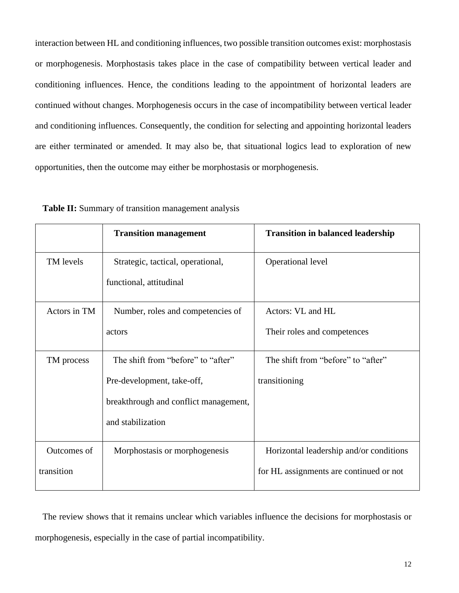interaction between HL and conditioning influences, two possible transition outcomes exist: morphostasis or morphogenesis. Morphostasis takes place in the case of compatibility between vertical leader and conditioning influences. Hence, the conditions leading to the appointment of horizontal leaders are continued without changes. Morphogenesis occurs in the case of incompatibility between vertical leader and conditioning influences. Consequently, the condition for selecting and appointing horizontal leaders are either terminated or amended. It may also be, that situational logics lead to exploration of new opportunities, then the outcome may either be morphostasis or morphogenesis.

|              | <b>Transition management</b>          | <b>Transition in balanced leadership</b> |
|--------------|---------------------------------------|------------------------------------------|
| TM levels    | Strategic, tactical, operational,     | Operational level                        |
|              | functional, attitudinal               |                                          |
| Actors in TM | Number, roles and competencies of     | Actors: VL and HL                        |
|              | actors                                | Their roles and competences              |
| TM process   | The shift from "before" to "after"    | The shift from "before" to "after"       |
|              | Pre-development, take-off,            | transitioning                            |
|              | breakthrough and conflict management, |                                          |
|              | and stabilization                     |                                          |
| Outcomes of  | Morphostasis or morphogenesis         | Horizontal leadership and/or conditions  |
| transition   |                                       | for HL assignments are continued or not  |

**Table II:** Summary of transition management analysis

The review shows that it remains unclear which variables influence the decisions for morphostasis or morphogenesis, especially in the case of partial incompatibility.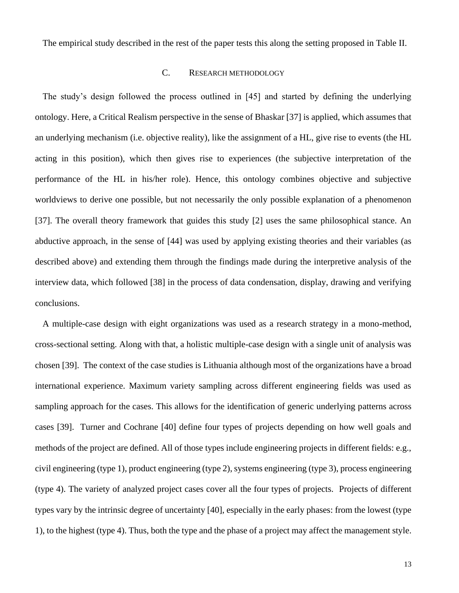The empirical study described in the rest of the paper tests this along the setting proposed in Table II.

## C. RESEARCH METHODOLOGY

The study's design followed the process outlined in [45] and started by defining the underlying ontology. Here, a Critical Realism perspective in the sense of Bhaskar [37] is applied, which assumes that an underlying mechanism (i.e. objective reality), like the assignment of a HL, give rise to events (the HL acting in this position), which then gives rise to experiences (the subjective interpretation of the performance of the HL in his/her role). Hence, this ontology combines objective and subjective worldviews to derive one possible, but not necessarily the only possible explanation of a phenomenon [37]. The overall theory framework that guides this study [2] uses the same philosophical stance. An abductive approach, in the sense of [44] was used by applying existing theories and their variables (as described above) and extending them through the findings made during the interpretive analysis of the interview data, which followed [38] in the process of data condensation, display, drawing and verifying conclusions.

A multiple-case design with eight organizations was used as a research strategy in a mono-method, cross-sectional setting. Along with that, a holistic multiple-case design with a single unit of analysis was chosen [39]. The context of the case studies is Lithuania although most of the organizations have a broad international experience. Maximum variety sampling across different engineering fields was used as sampling approach for the cases. This allows for the identification of generic underlying patterns across cases [39]. Turner and Cochrane [40] define four types of projects depending on how well goals and methods of the project are defined. All of those types include engineering projects in different fields: e.g., civil engineering (type 1), product engineering (type 2), systems engineering (type 3), process engineering (type 4). The variety of analyzed project cases cover all the four types of projects. Projects of different types vary by the intrinsic degree of uncertainty [40], especially in the early phases: from the lowest (type 1), to the highest (type 4). Thus, both the type and the phase of a project may affect the management style.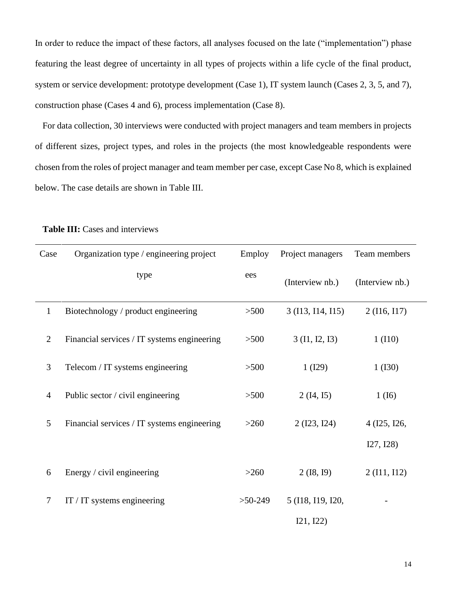In order to reduce the impact of these factors, all analyses focused on the late ("implementation") phase featuring the least degree of uncertainty in all types of projects within a life cycle of the final product, system or service development: prototype development (Case 1), IT system launch (Cases 2, 3, 5, and 7), construction phase (Cases 4 and 6), process implementation (Case 8).

For data collection, 30 interviews were conducted with project managers and team members in projects of different sizes, project types, and roles in the projects (the most knowledgeable respondents were chosen from the roles of project manager and team member per case, except Case No 8, which is explained below. The case details are shown in Table III.

| Case             | Organization type / engineering project     | Employ    | Project managers  | Team members    |
|------------------|---------------------------------------------|-----------|-------------------|-----------------|
|                  | type                                        | ees       | (Interview nb.)   | (Interview nb.) |
| $\mathbf{1}$     | Biotechnology / product engineering         | $>500$    | 3 (I13, I14, I15) | 2(116, 117)     |
| $\overline{2}$   | Financial services / IT systems engineering | $>500$    | 3(II, I2, I3)     | 1(110)          |
| 3                | Telecom / IT systems engineering            | $>500$    | 1 (I29)           | 1(130)          |
| $\overline{4}$   | Public sector / civil engineering           | $>500$    | 2(14, 15)         | 1(16)           |
| 5                | Financial services / IT systems engineering |           | $2$ (I23, I24)    | 4 (I25, I26,    |
|                  |                                             |           |                   | I27, I28        |
| 6                | Energy / civil engineering                  | >260      | 2(18, 19)         | 2(111, 112)     |
| $\boldsymbol{7}$ | IT / IT systems engineering                 | $>50-249$ | 5 (I18, I19, I20, |                 |
|                  |                                             |           | I21, I22          |                 |

Table III: Cases and interviews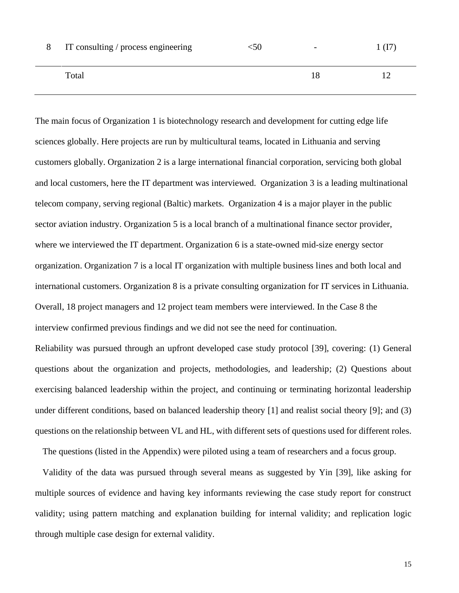| 8 | IT consulting / process engineering | <50 | $\overline{\phantom{m}}$ | (I7) |
|---|-------------------------------------|-----|--------------------------|------|
|   | Total                               |     |                          |      |

The main focus of Organization 1 is biotechnology research and development for cutting edge life sciences globally. Here projects are run by multicultural teams, located in Lithuania and serving customers globally. Organization 2 is a large international financial corporation, servicing both global and local customers, here the IT department was interviewed. Organization 3 is a leading multinational telecom company, serving regional (Baltic) markets. Organization 4 is a major player in the public sector aviation industry. Organization 5 is a local branch of a multinational finance sector provider, where we interviewed the IT department. Organization 6 is a state-owned mid-size energy sector organization. Organization 7 is a local IT organization with multiple business lines and both local and international customers. Organization 8 is a private consulting organization for IT services in Lithuania. Overall, 18 project managers and 12 project team members were interviewed. In the Case 8 the interview confirmed previous findings and we did not see the need for continuation.

Reliability was pursued through an upfront developed case study protocol [39], covering: (1) General questions about the organization and projects, methodologies, and leadership; (2) Questions about exercising balanced leadership within the project, and continuing or terminating horizontal leadership under different conditions, based on balanced leadership theory [1] and realist social theory [9]; and (3) questions on the relationship between VL and HL, with different sets of questions used for different roles.

The questions (listed in the Appendix) were piloted using a team of researchers and a focus group.

Validity of the data was pursued through several means as suggested by Yin [39], like asking for multiple sources of evidence and having key informants reviewing the case study report for construct validity; using pattern matching and explanation building for internal validity; and replication logic through multiple case design for external validity.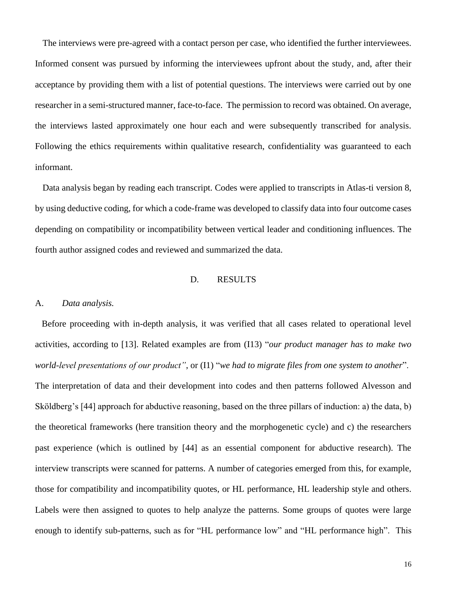The interviews were pre-agreed with a contact person per case, who identified the further interviewees. Informed consent was pursued by informing the interviewees upfront about the study, and, after their acceptance by providing them with a list of potential questions. The interviews were carried out by one researcher in a semi-structured manner, face-to-face. The permission to record was obtained. On average, the interviews lasted approximately one hour each and were subsequently transcribed for analysis. Following the ethics requirements within qualitative research, confidentiality was guaranteed to each informant.

Data analysis began by reading each transcript. Codes were applied to transcripts in Atlas-ti version 8, by using deductive coding, for which a code-frame was developed to classify data into four outcome cases depending on compatibility or incompatibility between vertical leader and conditioning influences. The fourth author assigned codes and reviewed and summarized the data.

#### D. RESULTS

#### A. *Data analysis.*

 Before proceeding with in-depth analysis, it was verified that all cases related to operational level activities, according to [13]. Related examples are from (I13) "*our product manager has to make two world-level presentations of our product"*, or (I1) "*we had to migrate files from one system to another*". The interpretation of data and their development into codes and then patterns followed Alvesson and Sköldberg's [44] approach for abductive reasoning, based on the three pillars of induction: a) the data, b) the theoretical frameworks (here transition theory and the morphogenetic cycle) and c) the researchers past experience (which is outlined by [44] as an essential component for abductive research). The interview transcripts were scanned for patterns. A number of categories emerged from this, for example, those for compatibility and incompatibility quotes, or HL performance, HL leadership style and others. Labels were then assigned to quotes to help analyze the patterns. Some groups of quotes were large enough to identify sub-patterns, such as for "HL performance low" and "HL performance high". This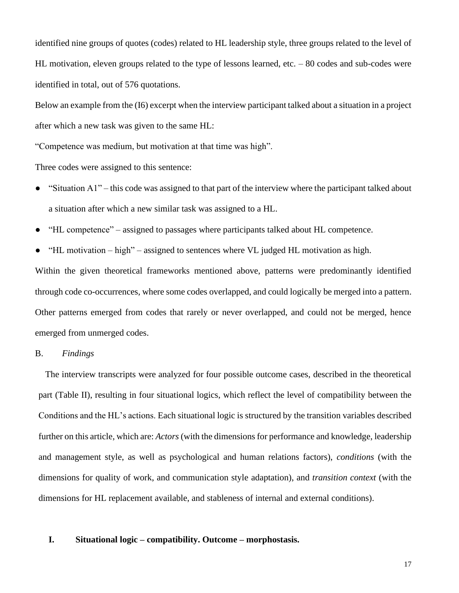identified nine groups of quotes (codes) related to HL leadership style, three groups related to the level of HL motivation, eleven groups related to the type of lessons learned, etc. – 80 codes and sub-codes were identified in total, out of 576 quotations.

Below an example from the (I6) excerpt when the interview participant talked about a situation in a project after which a new task was given to the same HL:

"Competence was medium, but motivation at that time was high".

Three codes were assigned to this sentence:

- "Situation A1" this code was assigned to that part of the interview where the participant talked about a situation after which a new similar task was assigned to a HL.
- "HL competence" assigned to passages where participants talked about HL competence.
- "HL motivation high" assigned to sentences where VL judged HL motivation as high.

Within the given theoretical frameworks mentioned above, patterns were predominantly identified through code co-occurrences, where some codes overlapped, and could logically be merged into a pattern. Other patterns emerged from codes that rarely or never overlapped, and could not be merged, hence emerged from unmerged codes.

### B. *Findings*

 The interview transcripts were analyzed for four possible outcome cases, described in the theoretical part (Table II), resulting in four situational logics, which reflect the level of compatibility between the Conditions and the HL's actions. Each situational logic is structured by the transition variables described further on this article, which are: *Actors* (with the dimensions for performance and knowledge, leadership and management style, as well as psychological and human relations factors), *conditions* (with the dimensions for quality of work, and communication style adaptation), and *transition context* (with the dimensions for HL replacement available, and stableness of internal and external conditions).

# **I. Situational logic – compatibility. Outcome – morphostasis.**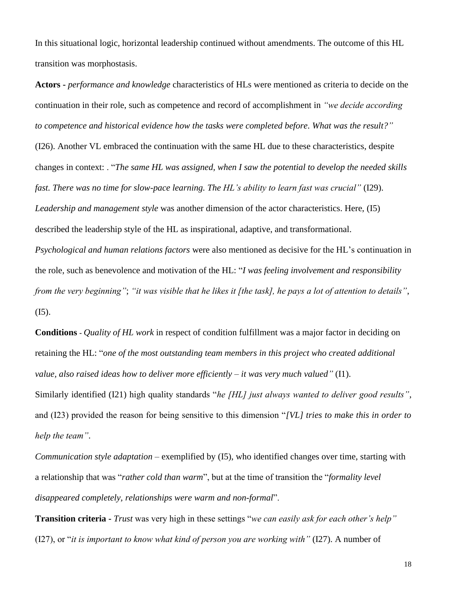In this situational logic, horizontal leadership continued without amendments. The outcome of this HL transition was morphostasis.

**Actors -** *performance and knowledge* characteristics of HLs were mentioned as criteria to decide on the continuation in their role, such as competence and record of accomplishment in *"we decide according to competence and historical evidence how the tasks were completed before. What was the result?"*

(I26). Another VL embraced the continuation with the same HL due to these characteristics, despite changes in context: . "*The same HL was assigned, when I saw the potential to develop the needed skills fast. There was no time for slow-pace learning. The HL's ability to learn fast was crucial"* (I29).

*Leadership and management style* was another dimension of the actor characteristics. Here, (I5) described the leadership style of the HL as inspirational, adaptive, and transformational.

*Psychological and human relations factors* were also mentioned as decisive for the HL's continuation in the role, such as benevolence and motivation of the HL: "*I was feeling involvement and responsibility from the very beginning"*; *"it was visible that he likes it [the task], he pays a lot of attention to details"*,  $(I5).$ 

**Conditions -** *Quality of HL work* in respect of condition fulfillment was a major factor in deciding on retaining the HL: "*one of the most outstanding team members in this project who created additional value, also raised ideas how to deliver more efficiently – it was very much valued"* (I1). Similarly identified (I21) high quality standards "*he [HL] just always wanted to deliver good results"*, and (I23) provided the reason for being sensitive to this dimension "*[VL] tries to make this in order to help the team"*.

*Communication style adaptation* – exemplified by (I5), who identified changes over time, starting with a relationship that was "*rather cold than warm*", but at the time of transition the "*formality level disappeared completely, relationships were warm and non-formal*".

**Transition criteria -** *Trust* was very high in these settings "*we can easily ask for each other's help"* (I27), or "*it is important to know what kind of person you are working with"* (I27). A number of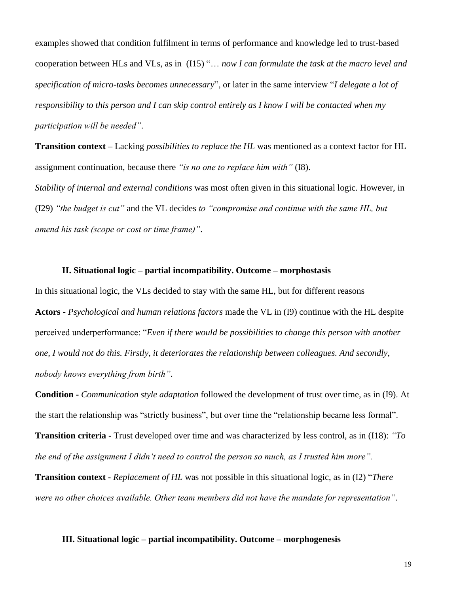examples showed that condition fulfilment in terms of performance and knowledge led to trust-based cooperation between HLs and VLs, as in (I15) "… *now I can formulate the task at the macro level and specification of micro-tasks becomes unnecessary*", or later in the same interview "*I delegate a lot of responsibility to this person and I can skip control entirely as I know I will be contacted when my participation will be needed"*.

**Transition context –** Lacking *possibilities to replace the HL* was mentioned as a context factor for HL assignment continuation, because there *"is no one to replace him with"* (I8). *Stability of internal and external conditions* was most often given in this situational logic. However, in (I29) *"the budget is cut"* and the VL decides *to "compromise and continue with the same HL, but amend his task (scope or cost or time frame)"*.

#### **II. Situational logic – partial incompatibility. Outcome – morphostasis**

In this situational logic, the VLs decided to stay with the same HL, but for different reasons **Actors** *- Psychological and human relations factors* made the VL in (I9) continue with the HL despite perceived underperformance: "*Even if there would be possibilities to change this person with another one, I would not do this. Firstly, it deteriorates the relationship between colleagues. And secondly, nobody knows everything from birth"*.

**Condition -** *Communication style adaptation* followed the development of trust over time, as in (I9). At the start the relationship was "strictly business", but over time the "relationship became less formal". **Transition criteria -** Trust developed over time and was characterized by less control, as in (I18): *"To* 

*the end of the assignment I didn't need to control the person so much, as I trusted him more".*

**Transition context -** *Replacement of HL* was not possible in this situational logic, as in (I2) "*There were no other choices available. Other team members did not have the mandate for representation"*.

#### **III. Situational logic – partial incompatibility. Outcome – morphogenesis**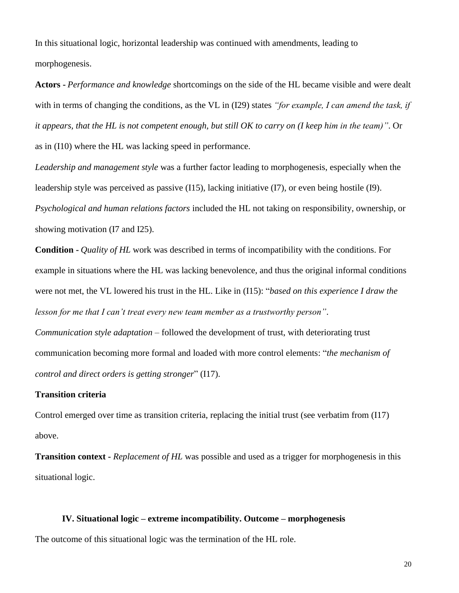In this situational logic, horizontal leadership was continued with amendments, leading to morphogenesis.

**Actors -** *Performance and knowledge* shortcomings on the side of the HL became visible and were dealt with in terms of changing the conditions, as the VL in (I29) states *"for example, I can amend the task, if it appears, that the HL is not competent enough, but still OK to carry on (I keep him in the team)"*. Or as in (I10) where the HL was lacking speed in performance.

*Leadership and management style* was a further factor leading to morphogenesis, especially when the leadership style was perceived as passive (I15), lacking initiative (I7), or even being hostile (I9). *Psychological and human relations factors* included the HL not taking on responsibility, ownership, or showing motivation (I7 and I25).

**Condition -** *Quality of HL* work was described in terms of incompatibility with the conditions. For example in situations where the HL was lacking benevolence, and thus the original informal conditions were not met, the VL lowered his trust in the HL. Like in (I15): "*based on this experience I draw the lesson for me that I can't treat every new team member as a trustworthy person"*.

*Communication style adaptation –* followed the development of trust, with deteriorating trust communication becoming more formal and loaded with more control elements: "*the mechanism of control and direct orders is getting stronger*" (I17).

## **Transition criteria**

Control emerged over time as transition criteria, replacing the initial trust (see verbatim from (I17) above.

**Transition context -** *Replacement of HL* was possible and used as a trigger for morphogenesis in this situational logic.

## **IV. Situational logic – extreme incompatibility. Outcome – morphogenesis**

The outcome of this situational logic was the termination of the HL role.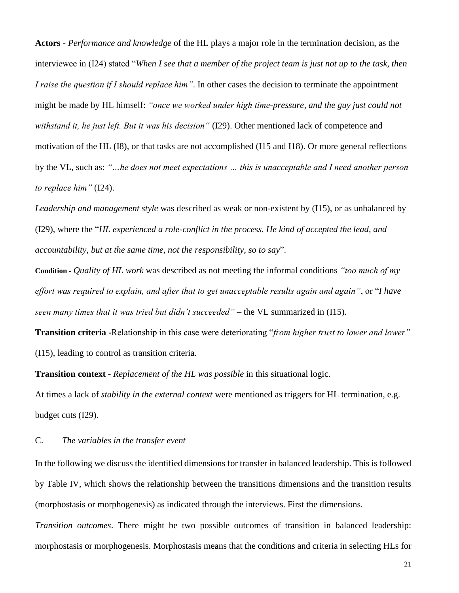**Actors -** *Performance and knowledge* of the HL plays a major role in the termination decision, as the interviewee in (I24) stated "*When I see that a member of the project team is just not up to the task, then I raise the question if I should replace him"*. In other cases the decision to terminate the appointment might be made by HL himself: *"once we worked under high time-pressure, and the guy just could not withstand it, he just left. But it was his decision"* (I29). Other mentioned lack of competence and motivation of the HL (I8), or that tasks are not accomplished (I15 and I18). Or more general reflections by the VL, such as: *"…he does not meet expectations … this is unacceptable and I need another person to replace him"* (I24).

*Leadership and management style* was described as weak or non-existent by (I15), or as unbalanced by (I29), where the "*HL experienced a role-conflict in the process. He kind of accepted the lead, and accountability, but at the same time, not the responsibility, so to say*".

**Condition -** *Quality of HL work* was described as not meeting the informal conditions *"too much of my effort was required to explain, and after that to get unacceptable results again and again"*, or "*I have seen many times that it was tried but didn't succeeded"* – the VL summarized in (I15).

**Transition criteria -**Relationship in this case were deteriorating "*from higher trust to lower and lower"* (I15), leading to control as transition criteria.

**Transition context -** *Replacement of the HL was possible* in this situational logic.

At times a lack of *stability in the external context* were mentioned as triggers for HL termination, e.g. budget cuts (I29).

C. *The variables in the transfer event*

In the following we discuss the identified dimensions for transfer in balanced leadership. This is followed by Table IV, which shows the relationship between the transitions dimensions and the transition results (morphostasis or morphogenesis) as indicated through the interviews. First the dimensions.

*Transition outcomes*. There might be two possible outcomes of transition in balanced leadership: morphostasis or morphogenesis. Morphostasis means that the conditions and criteria in selecting HLs for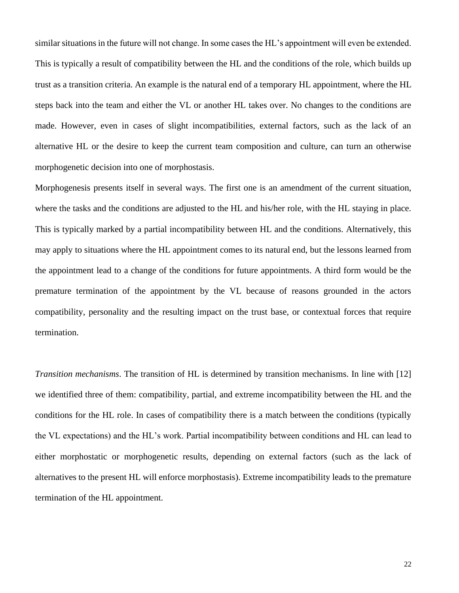similar situations in the future will not change. In some cases the HL's appointment will even be extended. This is typically a result of compatibility between the HL and the conditions of the role, which builds up trust as a transition criteria. An example is the natural end of a temporary HL appointment, where the HL steps back into the team and either the VL or another HL takes over. No changes to the conditions are made. However, even in cases of slight incompatibilities, external factors, such as the lack of an alternative HL or the desire to keep the current team composition and culture, can turn an otherwise morphogenetic decision into one of morphostasis.

Morphogenesis presents itself in several ways. The first one is an amendment of the current situation, where the tasks and the conditions are adjusted to the HL and his/her role, with the HL staying in place. This is typically marked by a partial incompatibility between HL and the conditions. Alternatively, this may apply to situations where the HL appointment comes to its natural end, but the lessons learned from the appointment lead to a change of the conditions for future appointments. A third form would be the premature termination of the appointment by the VL because of reasons grounded in the actors compatibility, personality and the resulting impact on the trust base, or contextual forces that require termination.

*Transition mechanisms*. The transition of HL is determined by transition mechanisms. In line with [12] we identified three of them: compatibility, partial, and extreme incompatibility between the HL and the conditions for the HL role. In cases of compatibility there is a match between the conditions (typically the VL expectations) and the HL's work. Partial incompatibility between conditions and HL can lead to either morphostatic or morphogenetic results, depending on external factors (such as the lack of alternatives to the present HL will enforce morphostasis). Extreme incompatibility leads to the premature termination of the HL appointment.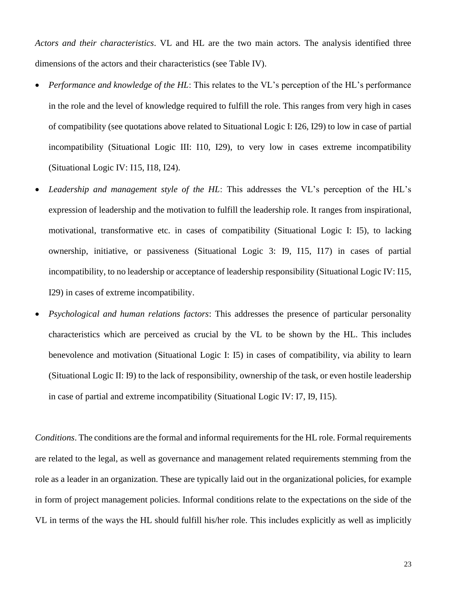*Actors and their characteristics*. VL and HL are the two main actors. The analysis identified three dimensions of the actors and their characteristics (see Table IV).

- *Performance and knowledge of the HL*: This relates to the VL's perception of the HL's performance in the role and the level of knowledge required to fulfill the role. This ranges from very high in cases of compatibility (see quotations above related to Situational Logic I: I26, I29) to low in case of partial incompatibility (Situational Logic III: I10, I29), to very low in cases extreme incompatibility (Situational Logic IV: I15, I18, I24).
- *Leadership and management style of the HL*: This addresses the VL's perception of the HL's expression of leadership and the motivation to fulfill the leadership role. It ranges from inspirational, motivational, transformative etc. in cases of compatibility (Situational Logic I: I5), to lacking ownership, initiative, or passiveness (Situational Logic 3: I9, I15, I17) in cases of partial incompatibility, to no leadership or acceptance of leadership responsibility (Situational Logic IV: I15, I29) in cases of extreme incompatibility.
- *Psychological and human relations factors*: This addresses the presence of particular personality characteristics which are perceived as crucial by the VL to be shown by the HL. This includes benevolence and motivation (Situational Logic I: I5) in cases of compatibility, via ability to learn (Situational Logic II: I9) to the lack of responsibility, ownership of the task, or even hostile leadership in case of partial and extreme incompatibility (Situational Logic IV: I7, I9, I15).

*Conditions*. The conditions are the formal and informal requirements for the HL role. Formal requirements are related to the legal, as well as governance and management related requirements stemming from the role as a leader in an organization. These are typically laid out in the organizational policies, for example in form of project management policies. Informal conditions relate to the expectations on the side of the VL in terms of the ways the HL should fulfill his/her role. This includes explicitly as well as implicitly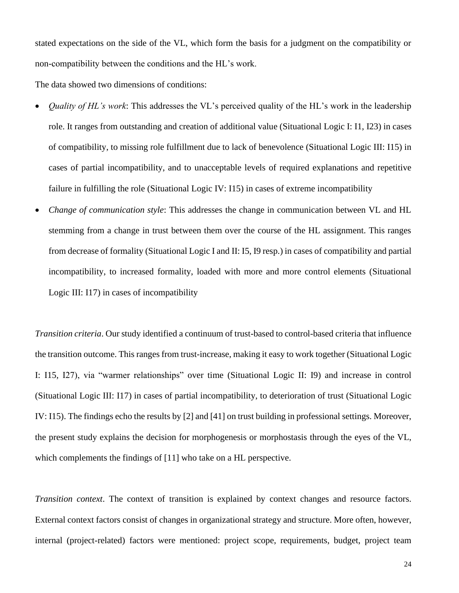stated expectations on the side of the VL, which form the basis for a judgment on the compatibility or non-compatibility between the conditions and the HL's work.

The data showed two dimensions of conditions:

- *Quality of HL's work*: This addresses the VL's perceived quality of the HL's work in the leadership role. It ranges from outstanding and creation of additional value (Situational Logic I: I1, I23) in cases of compatibility, to missing role fulfillment due to lack of benevolence (Situational Logic III: I15) in cases of partial incompatibility, and to unacceptable levels of required explanations and repetitive failure in fulfilling the role (Situational Logic IV: I15) in cases of extreme incompatibility
- *Change of communication style*: This addresses the change in communication between VL and HL stemming from a change in trust between them over the course of the HL assignment. This ranges from decrease of formality (Situational Logic I and II: I5, I9 resp.) in cases of compatibility and partial incompatibility, to increased formality, loaded with more and more control elements (Situational Logic III: I17) in cases of incompatibility

*Transition criteria*. Our study identified a continuum of trust-based to control-based criteria that influence the transition outcome. This ranges from trust-increase, making it easy to work together (Situational Logic I: I15, I27), via "warmer relationships" over time (Situational Logic II: I9) and increase in control (Situational Logic III: I17) in cases of partial incompatibility, to deterioration of trust (Situational Logic IV: I15). The findings echo the results by [2] and [41] on trust building in professional settings. Moreover, the present study explains the decision for morphogenesis or morphostasis through the eyes of the VL, which complements the findings of [11] who take on a HL perspective.

*Transition context*. The context of transition is explained by context changes and resource factors. External context factors consist of changes in organizational strategy and structure. More often, however, internal (project-related) factors were mentioned: project scope, requirements, budget, project team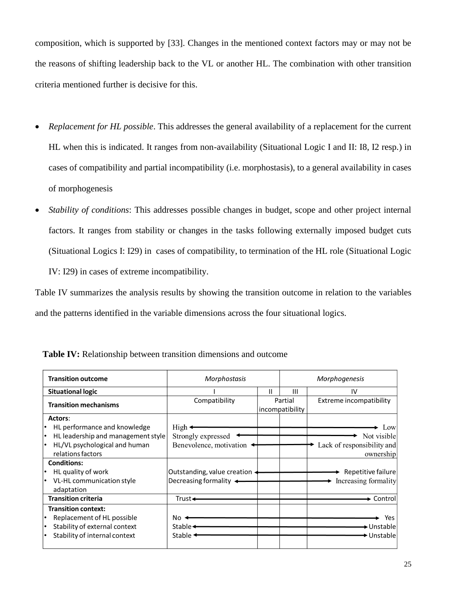composition, which is supported by [33]. Changes in the mentioned context factors may or may not be the reasons of shifting leadership back to the VL or another HL. The combination with other transition criteria mentioned further is decisive for this.

- *Replacement for HL possible*. This addresses the general availability of a replacement for the current HL when this is indicated. It ranges from non-availability (Situational Logic I and II: I8, I2 resp.) in cases of compatibility and partial incompatibility (i.e. morphostasis), to a general availability in cases of morphogenesis
- *Stability of conditions*: This addresses possible changes in budget, scope and other project internal factors. It ranges from stability or changes in the tasks following externally imposed budget cuts (Situational Logics I: I29) in cases of compatibility, to termination of the HL role (Situational Logic IV: I29) in cases of extreme incompatibility.

Table IV summarizes the analysis results by showing the transition outcome in relation to the variables and the patterns identified in the variable dimensions across the four situational logics.

| <b>Transition outcome</b><br>Morphostasis                           |                                                            | Morphogenesis |                            |                                           |
|---------------------------------------------------------------------|------------------------------------------------------------|---------------|----------------------------|-------------------------------------------|
| <b>Situational logic</b>                                            |                                                            | Ш             | Ш                          | IV                                        |
| <b>Transition mechanisms</b>                                        | Compatibility                                              |               | Partial<br>incompatibility | Extreme incompatibility                   |
| Actors:<br>HL performance and knowledge                             | High $\triangleleft$                                       |               |                            | Low                                       |
| HL leadership and management style<br>HL/VL psychological and human | Strongly expressed<br>Benevolence, motivation $\leftarrow$ |               |                            | Not visible<br>Lack of responsibility and |
| relations factors                                                   |                                                            |               |                            | ownership                                 |
| <b>Conditions:</b>                                                  |                                                            |               |                            |                                           |
| HL quality of work                                                  | Outstanding, value creation $\cdot$                        |               |                            | Repetitive failure                        |
| VL-HL communication style                                           | Decreasing formality $\leftarrow$                          |               |                            | Increasing formality                      |
| adaptation                                                          |                                                            |               |                            |                                           |
| <b>Transition criteria</b>                                          | Trust←                                                     |               |                            | $\rightarrow$ Control                     |
| <b>Transition context:</b>                                          |                                                            |               |                            |                                           |
| Replacement of HL possible                                          | No -                                                       |               |                            | Yes                                       |
| Stability of external context                                       | Stable $\triangleleft$                                     |               |                            | ► Unstable                                |
| Stability of internal context                                       | Stable <                                                   |               |                            | $\blacktriangleright$ Unstable            |

| <b>Table IV:</b> Relationship between transition dimensions and outcome |  |
|-------------------------------------------------------------------------|--|
|-------------------------------------------------------------------------|--|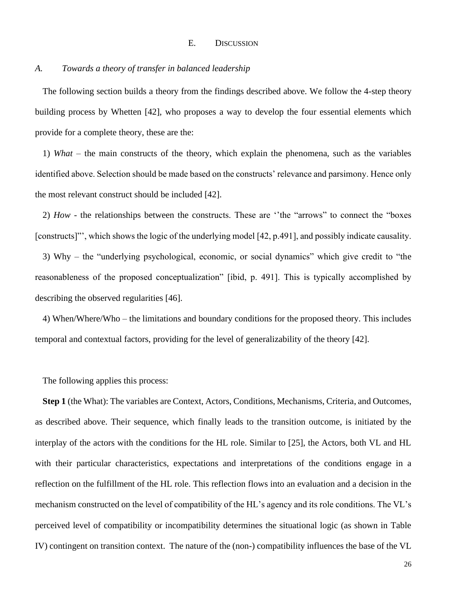#### E. DISCUSSION

#### *A. Towards a theory of transfer in balanced leadership*

The following section builds a theory from the findings described above. We follow the 4-step theory building process by Whetten [42], who proposes a way to develop the four essential elements which provide for a complete theory, these are the:

1) *What* – the main constructs of the theory, which explain the phenomena, such as the variables identified above. Selection should be made based on the constructs' relevance and parsimony. Hence only the most relevant construct should be included [42].

2) *How* - the relationships between the constructs. These are ''the "arrows" to connect the "boxes [constructs]"', which shows the logic of the underlying model [42, p.491], and possibly indicate causality.

3) Why – the "underlying psychological, economic, or social dynamics" which give credit to "the reasonableness of the proposed conceptualization" [ibid, p. 491]. This is typically accomplished by describing the observed regularities [46].

4) When/Where/Who – the limitations and boundary conditions for the proposed theory. This includes temporal and contextual factors, providing for the level of generalizability of the theory [42].

The following applies this process:

**Step 1** (the What): The variables are Context, Actors, Conditions, Mechanisms, Criteria, and Outcomes, as described above. Their sequence, which finally leads to the transition outcome, is initiated by the interplay of the actors with the conditions for the HL role. Similar to [25], the Actors, both VL and HL with their particular characteristics, expectations and interpretations of the conditions engage in a reflection on the fulfillment of the HL role. This reflection flows into an evaluation and a decision in the mechanism constructed on the level of compatibility of the HL's agency and its role conditions. The VL's perceived level of compatibility or incompatibility determines the situational logic (as shown in Table IV) contingent on transition context. The nature of the (non-) compatibility influences the base of the VL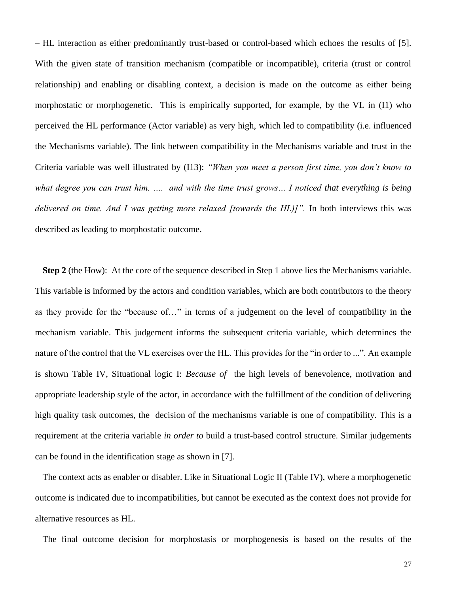– HL interaction as either predominantly trust-based or control-based which echoes the results of [5]. With the given state of transition mechanism (compatible or incompatible), criteria (trust or control relationship) and enabling or disabling context, a decision is made on the outcome as either being morphostatic or morphogenetic. This is empirically supported, for example, by the VL in (I1) who perceived the HL performance (Actor variable) as very high, which led to compatibility (i.e. influenced the Mechanisms variable). The link between compatibility in the Mechanisms variable and trust in the Criteria variable was well illustrated by (I13): *"When you meet a person first time, you don't know to what degree you can trust him. …. and with the time trust grows… I noticed that everything is being delivered on time. And I was getting more relaxed [towards the HL)]".* In both interviews this was described as leading to morphostatic outcome.

**Step 2** (the How): At the core of the sequence described in Step 1 above lies the Mechanisms variable. This variable is informed by the actors and condition variables, which are both contributors to the theory as they provide for the "because of…" in terms of a judgement on the level of compatibility in the mechanism variable. This judgement informs the subsequent criteria variable, which determines the nature of the control that the VL exercises over the HL. This provides for the "in order to ...". An example is shown Table IV, Situational logic I: *Because of* the high levels of benevolence, motivation and appropriate leadership style of the actor, in accordance with the fulfillment of the condition of delivering high quality task outcomes, the decision of the mechanisms variable is one of compatibility. This is a requirement at the criteria variable *in order to* build a trust-based control structure. Similar judgements can be found in the identification stage as shown in [7].

The context acts as enabler or disabler. Like in Situational Logic II (Table IV), where a morphogenetic outcome is indicated due to incompatibilities, but cannot be executed as the context does not provide for alternative resources as HL.

The final outcome decision for morphostasis or morphogenesis is based on the results of the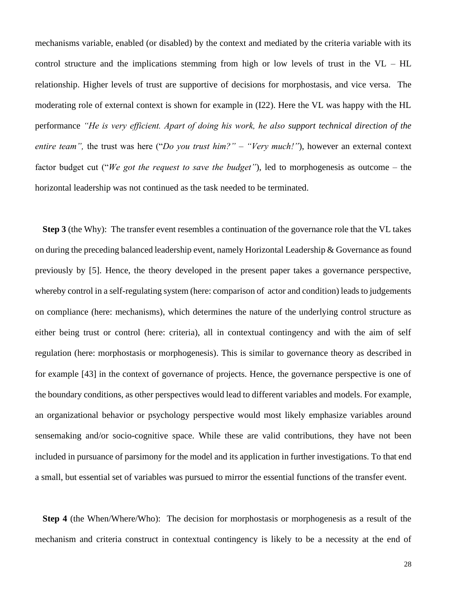mechanisms variable, enabled (or disabled) by the context and mediated by the criteria variable with its control structure and the implications stemming from high or low levels of trust in the VL – HL relationship. Higher levels of trust are supportive of decisions for morphostasis, and vice versa. The moderating role of external context is shown for example in (I22). Here the VL was happy with the HL performance *"He is very efficient. Apart of doing his work, he also support technical direction of the entire team",* the trust was here ("*Do you trust him?" – "Very much!"*), however an external context factor budget cut ("*We got the request to save the budget"*), led to morphogenesis as outcome – the horizontal leadership was not continued as the task needed to be terminated.

**Step 3** (the Why): The transfer event resembles a continuation of the governance role that the VL takes on during the preceding balanced leadership event, namely Horizontal Leadership & Governance as found previously by [5]. Hence, the theory developed in the present paper takes a governance perspective, whereby control in a self-regulating system (here: comparison of actor and condition) leads to judgements on compliance (here: mechanisms), which determines the nature of the underlying control structure as either being trust or control (here: criteria), all in contextual contingency and with the aim of self regulation (here: morphostasis or morphogenesis). This is similar to governance theory as described in for example [43] in the context of governance of projects. Hence, the governance perspective is one of the boundary conditions, as other perspectives would lead to different variables and models. For example, an organizational behavior or psychology perspective would most likely emphasize variables around sensemaking and/or socio-cognitive space. While these are valid contributions, they have not been included in pursuance of parsimony for the model and its application in further investigations. To that end a small, but essential set of variables was pursued to mirror the essential functions of the transfer event.

**Step 4** (the When/Where/Who): The decision for morphostasis or morphogenesis as a result of the mechanism and criteria construct in contextual contingency is likely to be a necessity at the end of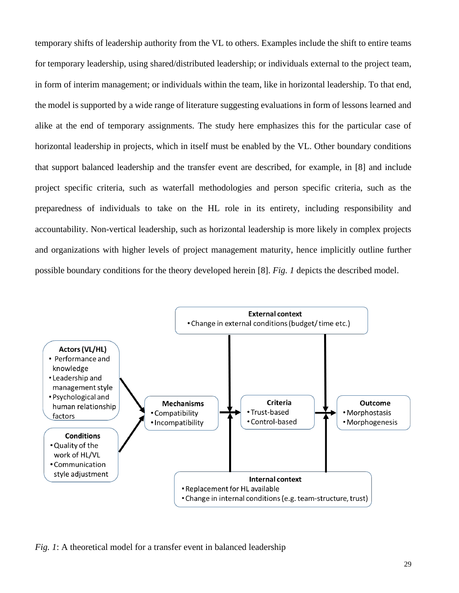temporary shifts of leadership authority from the VL to others. Examples include the shift to entire teams for temporary leadership, using shared/distributed leadership; or individuals external to the project team, in form of interim management; or individuals within the team, like in horizontal leadership. To that end, the model is supported by a wide range of literature suggesting evaluations in form of lessons learned and alike at the end of temporary assignments. The study here emphasizes this for the particular case of horizontal leadership in projects, which in itself must be enabled by the VL. Other boundary conditions that support balanced leadership and the transfer event are described, for example, in [8] and include project specific criteria, such as waterfall methodologies and person specific criteria, such as the preparedness of individuals to take on the HL role in its entirety, including responsibility and accountability. Non-vertical leadership, such as horizontal leadership is more likely in complex projects and organizations with higher levels of project management maturity, hence implicitly outline further possible boundary conditions for the theory developed herein [8]. *Fig. 1* depicts the described model.



*Fig. 1*: A theoretical model for a transfer event in balanced leadership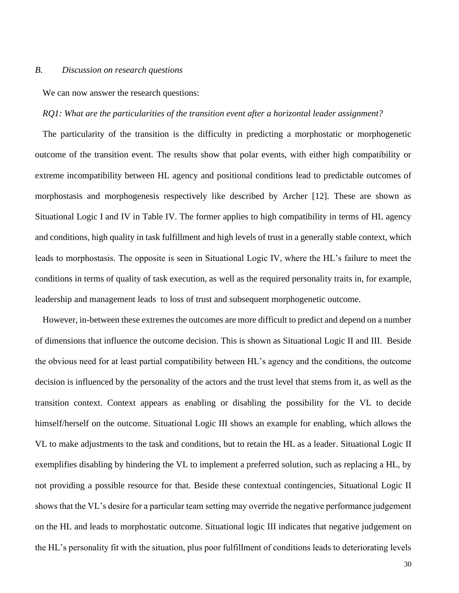## *B. Discussion on research questions*

We can now answer the research questions:

#### *RQ1: What are the particularities of the transition event after a horizontal leader assignment?*

The particularity of the transition is the difficulty in predicting a morphostatic or morphogenetic outcome of the transition event. The results show that polar events, with either high compatibility or extreme incompatibility between HL agency and positional conditions lead to predictable outcomes of morphostasis and morphogenesis respectively like described by Archer [12]. These are shown as Situational Logic I and IV in Table IV. The former applies to high compatibility in terms of HL agency and conditions, high quality in task fulfillment and high levels of trust in a generally stable context, which leads to morphostasis. The opposite is seen in Situational Logic IV, where the HL's failure to meet the conditions in terms of quality of task execution, as well as the required personality traits in, for example, leadership and management leads to loss of trust and subsequent morphogenetic outcome.

However, in-between these extremes the outcomes are more difficult to predict and depend on a number of dimensions that influence the outcome decision. This is shown as Situational Logic II and III. Beside the obvious need for at least partial compatibility between HL's agency and the conditions, the outcome decision is influenced by the personality of the actors and the trust level that stems from it, as well as the transition context. Context appears as enabling or disabling the possibility for the VL to decide himself/herself on the outcome. Situational Logic III shows an example for enabling, which allows the VL to make adjustments to the task and conditions, but to retain the HL as a leader. Situational Logic II exemplifies disabling by hindering the VL to implement a preferred solution, such as replacing a HL, by not providing a possible resource for that. Beside these contextual contingencies, Situational Logic II shows that the VL's desire for a particular team setting may override the negative performance judgement on the HL and leads to morphostatic outcome. Situational logic III indicates that negative judgement on the HL's personality fit with the situation, plus poor fulfillment of conditions leads to deteriorating levels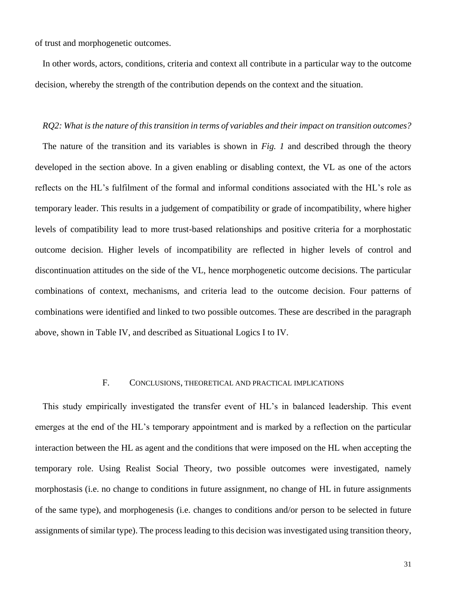of trust and morphogenetic outcomes.

In other words, actors, conditions, criteria and context all contribute in a particular way to the outcome decision, whereby the strength of the contribution depends on the context and the situation.

#### *RQ2: What is the nature of this transition in terms of variables and their impact on transition outcomes?*

The nature of the transition and its variables is shown in *Fig. 1* and described through the theory developed in the section above. In a given enabling or disabling context, the VL as one of the actors reflects on the HL's fulfilment of the formal and informal conditions associated with the HL's role as temporary leader. This results in a judgement of compatibility or grade of incompatibility, where higher levels of compatibility lead to more trust-based relationships and positive criteria for a morphostatic outcome decision. Higher levels of incompatibility are reflected in higher levels of control and discontinuation attitudes on the side of the VL, hence morphogenetic outcome decisions. The particular combinations of context, mechanisms, and criteria lead to the outcome decision. Four patterns of combinations were identified and linked to two possible outcomes. These are described in the paragraph above, shown in Table IV, and described as Situational Logics I to IV.

### F. CONCLUSIONS, THEORETICAL AND PRACTICAL IMPLICATIONS

This study empirically investigated the transfer event of HL's in balanced leadership. This event emerges at the end of the HL's temporary appointment and is marked by a reflection on the particular interaction between the HL as agent and the conditions that were imposed on the HL when accepting the temporary role. Using Realist Social Theory, two possible outcomes were investigated, namely morphostasis (i.e. no change to conditions in future assignment, no change of HL in future assignments of the same type), and morphogenesis (i.e. changes to conditions and/or person to be selected in future assignments of similar type). The process leading to this decision was investigated using transition theory,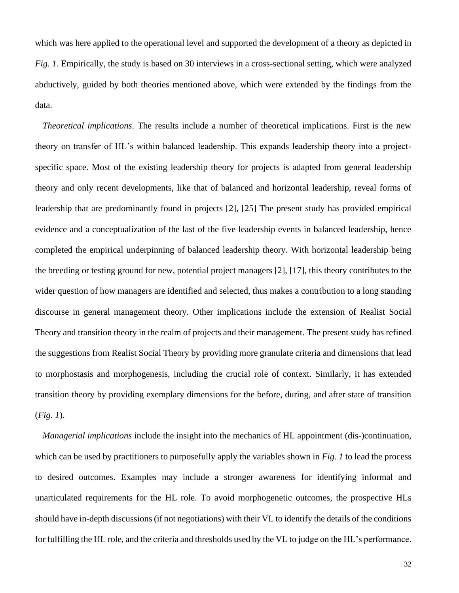which was here applied to the operational level and supported the development of a theory as depicted in *Fig. 1*. Empirically, the study is based on 30 interviews in a cross-sectional setting, which were analyzed abductively, guided by both theories mentioned above, which were extended by the findings from the data.

*Theoretical implications*. The results include a number of theoretical implications. First is the new theory on transfer of HL's within balanced leadership. This expands leadership theory into a projectspecific space. Most of the existing leadership theory for projects is adapted from general leadership theory and only recent developments, like that of balanced and horizontal leadership, reveal forms of leadership that are predominantly found in projects [2], [25] The present study has provided empirical evidence and a conceptualization of the last of the five leadership events in balanced leadership, hence completed the empirical underpinning of balanced leadership theory. With horizontal leadership being the breeding or testing ground for new, potential project managers [2], [17], this theory contributes to the wider question of how managers are identified and selected, thus makes a contribution to a long standing discourse in general management theory. Other implications include the extension of Realist Social Theory and transition theory in the realm of projects and their management. The present study has refined the suggestions from Realist Social Theory by providing more granulate criteria and dimensions that lead to morphostasis and morphogenesis, including the crucial role of context. Similarly, it has extended transition theory by providing exemplary dimensions for the before, during, and after state of transition (*Fig. 1*).

*Managerial implications* include the insight into the mechanics of HL appointment (dis-)continuation, which can be used by practitioners to purposefully apply the variables shown in *Fig. 1* to lead the process to desired outcomes. Examples may include a stronger awareness for identifying informal and unarticulated requirements for the HL role. To avoid morphogenetic outcomes, the prospective HLs should have in-depth discussions (if not negotiations) with their VL to identify the details of the conditions for fulfilling the HL role, and the criteria and thresholds used by the VL to judge on the HL's performance.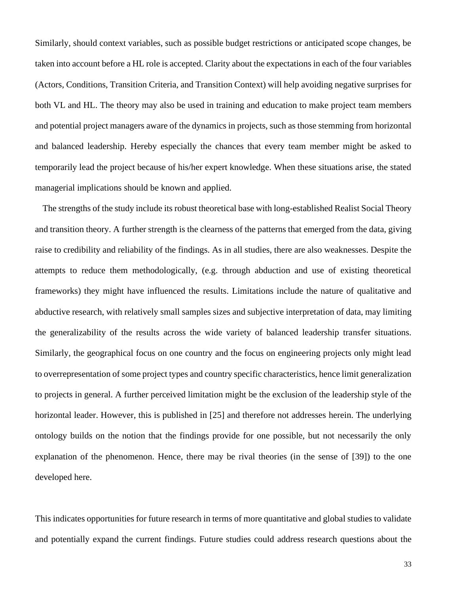Similarly, should context variables, such as possible budget restrictions or anticipated scope changes, be taken into account before a HL role is accepted. Clarity about the expectations in each of the four variables (Actors, Conditions, Transition Criteria, and Transition Context) will help avoiding negative surprises for both VL and HL. The theory may also be used in training and education to make project team members and potential project managers aware of the dynamics in projects, such as those stemming from horizontal and balanced leadership. Hereby especially the chances that every team member might be asked to temporarily lead the project because of his/her expert knowledge. When these situations arise, the stated managerial implications should be known and applied.

The strengths of the study include its robust theoretical base with long-established Realist Social Theory and transition theory. A further strength is the clearness of the patterns that emerged from the data, giving raise to credibility and reliability of the findings. As in all studies, there are also weaknesses. Despite the attempts to reduce them methodologically, (e.g. through abduction and use of existing theoretical frameworks) they might have influenced the results. Limitations include the nature of qualitative and abductive research, with relatively small samples sizes and subjective interpretation of data, may limiting the generalizability of the results across the wide variety of balanced leadership transfer situations. Similarly, the geographical focus on one country and the focus on engineering projects only might lead to overrepresentation of some project types and country specific characteristics, hence limit generalization to projects in general. A further perceived limitation might be the exclusion of the leadership style of the horizontal leader. However, this is published in [25] and therefore not addresses herein. The underlying ontology builds on the notion that the findings provide for one possible, but not necessarily the only explanation of the phenomenon. Hence, there may be rival theories (in the sense of [39]) to the one developed here.

This indicates opportunities for future research in terms of more quantitative and global studies to validate and potentially expand the current findings. Future studies could address research questions about the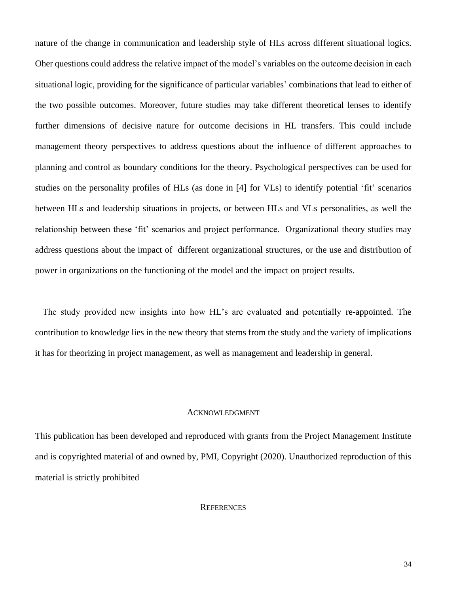nature of the change in communication and leadership style of HLs across different situational logics. Oher questions could address the relative impact of the model's variables on the outcome decision in each situational logic, providing for the significance of particular variables' combinations that lead to either of the two possible outcomes. Moreover, future studies may take different theoretical lenses to identify further dimensions of decisive nature for outcome decisions in HL transfers. This could include management theory perspectives to address questions about the influence of different approaches to planning and control as boundary conditions for the theory. Psychological perspectives can be used for studies on the personality profiles of HLs (as done in [4] for VLs) to identify potential 'fit' scenarios between HLs and leadership situations in projects, or between HLs and VLs personalities, as well the relationship between these 'fit' scenarios and project performance. Organizational theory studies may address questions about the impact of different organizational structures, or the use and distribution of power in organizations on the functioning of the model and the impact on project results.

The study provided new insights into how HL's are evaluated and potentially re-appointed. The contribution to knowledge lies in the new theory that stems from the study and the variety of implications it has for theorizing in project management, as well as management and leadership in general.

#### ACKNOWLEDGMENT

This publication has been developed and reproduced with grants from the Project Management Institute and is copyrighted material of and owned by, PMI, Copyright (2020). Unauthorized reproduction of this material is strictly prohibited

#### **REFERENCES**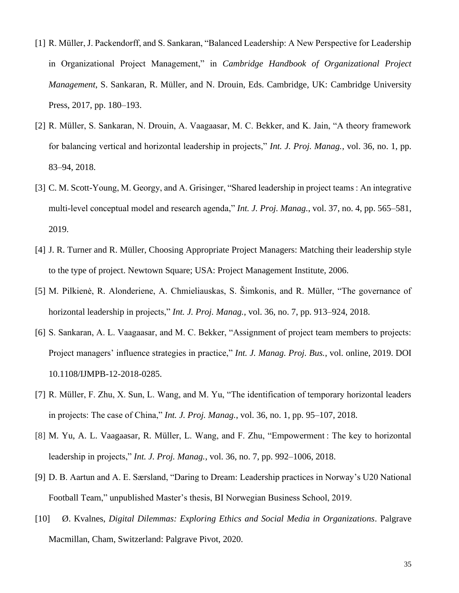- [1] R. Müller, J. Packendorff, and S. Sankaran, "Balanced Leadership: A New Perspective for Leadership in Organizational Project Management," in *Cambridge Handbook of Organizational Project Management*, S. Sankaran, R. Müller, and N. Drouin, Eds. Cambridge, UK: Cambridge University Press, 2017, pp. 180–193.
- [2] R. Müller, S. Sankaran, N. Drouin, A. Vaagaasar, M. C. Bekker, and K. Jain, "A theory framework for balancing vertical and horizontal leadership in projects," *Int. J. Proj. Manag.*, vol. 36, no. 1, pp. 83–94, 2018.
- [3] C. M. Scott-Young, M. Georgy, and A. Grisinger, "Shared leadership in project teams : An integrative multi-level conceptual model and research agenda," *Int. J. Proj. Manag.*, vol. 37, no. 4, pp. 565–581, 2019.
- [4] J. R. Turner and R. Müller, Choosing Appropriate Project Managers: Matching their leadership style to the type of project. Newtown Square; USA: Project Management Institute, 2006.
- [5] M. Pilkienė, R. Alonderiene, A. Chmieliauskas, S. Šimkonis, and R. Müller, "The governance of horizontal leadership in projects," *Int. J. Proj. Manag.*, vol. 36, no. 7, pp. 913–924, 2018.
- [6] S. Sankaran, A. L. Vaagaasar, and M. C. Bekker, "Assignment of project team members to projects: Project managers' influence strategies in practice," *Int. J. Manag. Proj. Bus.*, vol. online, 2019. DOI 10.1108/IJMPB-12-2018-0285.
- [7] R. Müller, F. Zhu, X. Sun, L. Wang, and M. Yu, "The identification of temporary horizontal leaders in projects: The case of China," *Int. J. Proj. Manag.*, vol. 36, no. 1, pp. 95–107, 2018.
- [8] M. Yu, A. L. Vaagaasar, R. Müller, L. Wang, and F. Zhu, "Empowerment: The key to horizontal leadership in projects," *Int. J. Proj. Manag.*, vol. 36, no. 7, pp. 992–1006, 2018.
- [9] D. B. Aartun and A. E. Særsland, "Daring to Dream: Leadership practices in Norway's U20 National Football Team," unpublished Master's thesis, BI Norwegian Business School, 2019.
- [10] Ø. Kvalnes, *Digital Dilemmas: Exploring Ethics and Social Media in Organizations*. Palgrave Macmillan, Cham, Switzerland: Palgrave Pivot, 2020.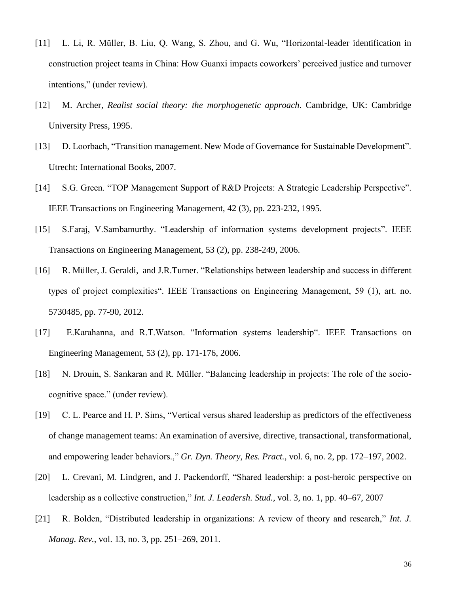- [11] L. Li, R. Müller, B. Liu, Q. Wang, S. Zhou, and G. Wu, "Horizontal-leader identification in construction project teams in China: How Guanxi impacts coworkers' perceived justice and turnover intentions," (under review).
- [12] M. Archer, *Realist social theory: the morphogenetic approach*. Cambridge, UK: Cambridge University Press, 1995.
- [13] D. Loorbach, "Transition management. New Mode of Governance for Sustainable Development". Utrecht: International Books, 2007.
- [14] S.G. Green. "TOP Management Support of R&D Projects: A Strategic Leadership Perspective". IEEE Transactions on Engineering Management, 42 (3), pp. 223-232, 1995.
- [15] S.Faraj, V.Sambamurthy. "Leadership of information systems development projects". IEEE Transactions on Engineering Management, 53 (2), pp. 238-249, 2006.
- [16] R. Müller, J. Geraldi, and J.R.Turner. "Relationships between leadership and success in different types of project complexities". IEEE Transactions on Engineering Management, 59 (1), art. no. 5730485, pp. 77-90, 2012.
- [17] E.Karahanna, and R.T.Watson. "Information systems leadership". IEEE Transactions on Engineering Management, 53 (2), pp. 171-176, 2006.
- [18] N. Drouin, S. Sankaran and R. Müller. "Balancing leadership in projects: The role of the sociocognitive space." (under review).
- [19] C. L. Pearce and H. P. Sims, "Vertical versus shared leadership as predictors of the effectiveness of change management teams: An examination of aversive, directive, transactional, transformational, and empowering leader behaviors.," *Gr. Dyn. Theory, Res. Pract.*, vol. 6, no. 2, pp. 172–197, 2002.
- [20] L. Crevani, M. Lindgren, and J. Packendorff, "Shared leadership: a post-heroic perspective on leadership as a collective construction," *Int. J. Leadersh. Stud.*, vol. 3, no. 1, pp. 40–67, 2007
- [21] R. Bolden, "Distributed leadership in organizations: A review of theory and research," *Int. J. Manag. Rev.*, vol. 13, no. 3, pp. 251–269, 2011.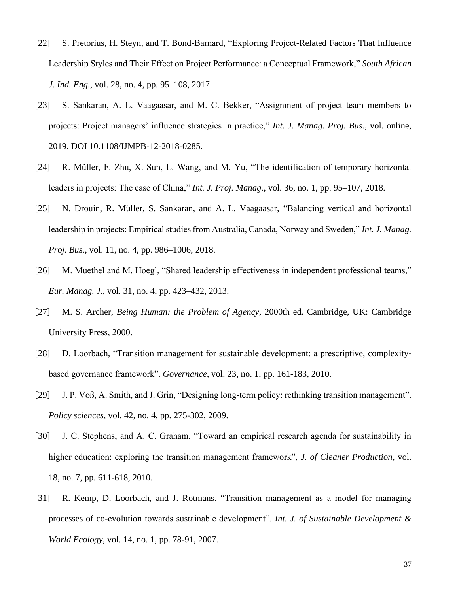- [22] S. Pretorius, H. Steyn, and T. Bond-Barnard, "Exploring Project-Related Factors That Influence Leadership Styles and Their Effect on Project Performance: a Conceptual Framework," *South African J. Ind. Eng.*, vol. 28, no. 4, pp. 95–108, 2017.
- [23] S. Sankaran, A. L. Vaagaasar, and M. C. Bekker, "Assignment of project team members to projects: Project managers' influence strategies in practice," *Int. J. Manag. Proj. Bus.*, vol. online, 2019. DOI 10.1108/IJMPB-12-2018-0285.
- [24] R. Müller, F. Zhu, X. Sun, L. Wang, and M. Yu, "The identification of temporary horizontal leaders in projects: The case of China," *Int. J. Proj. Manag.*, vol. 36, no. 1, pp. 95–107, 2018.
- [25] N. Drouin, R. Müller, S. Sankaran, and A. L. Vaagaasar, "Balancing vertical and horizontal leadership in projects: Empirical studies from Australia, Canada, Norway and Sweden," *Int. J. Manag. Proj. Bus.*, vol. 11, no. 4, pp. 986–1006, 2018.
- [26] M. Muethel and M. Hoegl, "Shared leadership effectiveness in independent professional teams," *Eur. Manag. J.*, vol. 31, no. 4, pp. 423–432, 2013.
- [27] M. S. Archer, *Being Human: the Problem of Agency*, 2000th ed. Cambridge, UK: Cambridge University Press, 2000.
- [28] D. Loorbach, "Transition management for sustainable development: a prescriptive, complexitybased governance framework". *Governance*, vol. 23, no. 1, pp. 161-183, 2010.
- [29] J. P. Voß, A. Smith, and J. Grin, "Designing long-term policy: rethinking transition management". *Policy sciences*, vol. 42, no. 4, pp. 275-302, 2009.
- [30] J. C. Stephens, and A. C. Graham, "Toward an empirical research agenda for sustainability in higher education: exploring the transition management framework", *J. of Cleaner Production*, vol. 18, no. 7, pp. 611-618, 2010.
- [31] R. Kemp, D. Loorbach, and J. Rotmans, "Transition management as a model for managing processes of co-evolution towards sustainable development". *Int. J. of Sustainable Development & World Ecology*, vol. 14, no. 1, pp. 78-91, 2007.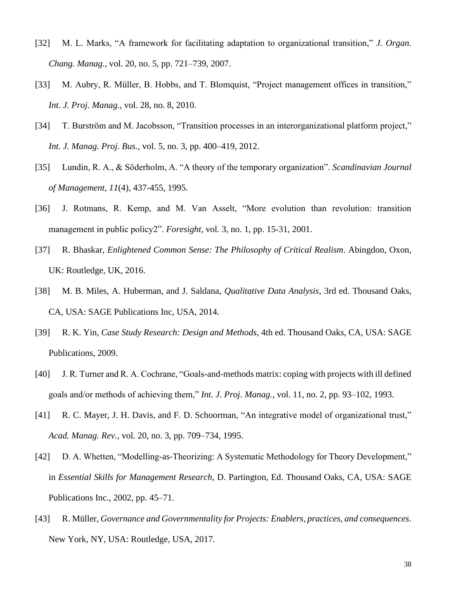- [32] M. L. Marks, "A framework for facilitating adaptation to organizational transition," *J. Organ. Chang. Manag.*, vol. 20, no. 5, pp. 721–739, 2007.
- [33] M. Aubry, R. Müller, B. Hobbs, and T. Blomquist, "Project management offices in transition," *Int. J. Proj. Manag.*, vol. 28, no. 8, 2010.
- [34] T. Burström and M. Jacobsson, "Transition processes in an interorganizational platform project," *Int. J. Manag. Proj. Bus.*, vol. 5, no. 3, pp. 400–419, 2012.
- [35] Lundin, R. A., & Söderholm, A. "A theory of the temporary organization". *Scandinavian Journal of Management*, *11*(4), 437-455, 1995.
- [36] J. Rotmans, R. Kemp, and M. Van Asselt, "More evolution than revolution: transition management in public policy2". *Foresight*, vol. 3, no. 1, pp. 15-31, 2001.
- [37] R. Bhaskar, *Enlightened Common Sense: The Philosophy of Critical Realism*. Abingdon, Oxon, UK: Routledge, UK, 2016.
- [38] M. B. Miles, A. Huberman, and J. Saldana, *Qualitative Data Analysis*, 3rd ed. Thousand Oaks, CA, USA: SAGE Publications Inc, USA, 2014.
- [39] R. K. Yin, *Case Study Research: Design and Methods*, 4th ed. Thousand Oaks, CA, USA: SAGE Publications, 2009.
- [40] J. R. Turner and R. A. Cochrane, "Goals-and-methods matrix: coping with projects with ill defined goals and/or methods of achieving them," *Int. J. Proj. Manag.*, vol. 11, no. 2, pp. 93–102, 1993.
- [41] R. C. Mayer, J. H. Davis, and F. D. Schoorman, "An integrative model of organizational trust," *Acad. Manag. Rev.*, vol. 20, no. 3, pp. 709–734, 1995.
- [42] D. A. Whetten, "Modelling-as-Theorizing: A Systematic Methodology for Theory Development," in *Essential Skills for Management Research*, D. Partington, Ed. Thousand Oaks, CA, USA: SAGE Publications Inc., 2002, pp. 45–71.
- [43] R. Müller, *Governance and Governmentality for Projects: Enablers, practices, and consequences*. New York, NY, USA: Routledge, USA, 2017.